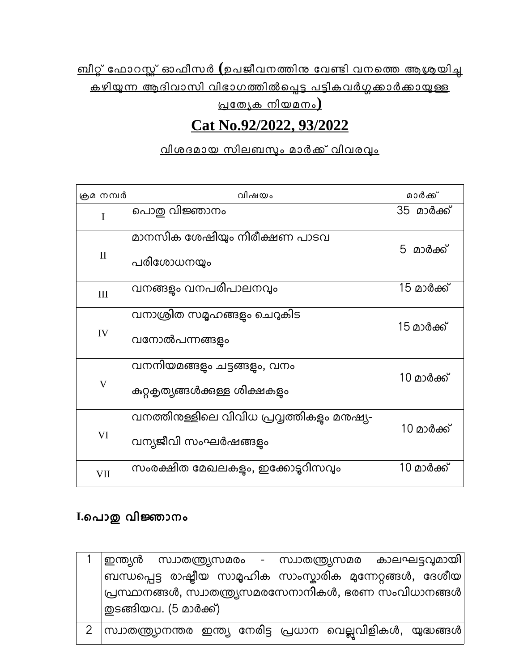<u>ബീറ്റ് ഫോറസ്റ്റ് ഓഫീസർ (ഉപജീവനത്തിനു വേണ്ടി വനത്തെ ആശ്രയിച്ച</u> <u>കഴിയുന്ന ആദിവാസി വിഭാഗത്തിൽപ്പെട്ട പട്ടികവർഗ്ഗക്കാർക്കായുള്ള</u>

<u>പ്രത്യേക നിയമനം)</u>

# **Cat No.92/2022, 93/2022**

### <u>വിശദമായ സിലബസും മാർക്ക് വിവരവും</u>

| ക്രമ നമ്പർ   | വിഷയം                                                             | മാർക്ക്    |
|--------------|-------------------------------------------------------------------|------------|
| I            | പൊതു വിജ്ഞാനം                                                     | 35 മാർക്ക് |
| $\mathbf{I}$ | മാനസിക ശേഷിയും നിരീക്ഷണ പാടവ<br>പരിശോധനയും                        | 5 മാർക്ക്  |
| III          | വനങ്ങളം വനപരിപാലനവും                                              | 15 മാർക്ക് |
| IV           | വനാശ്രിത സമൃഹങ്ങളും ചെറുകിട<br>വനോൽപന്നങ്ങളം                      | 15 മാർക്ക് |
| V            | വനനിയമങ്ങളും ചട്ടങ്ങളും, വനം<br>കുറ്റകൃത്യങ്ങൾക്കുള്ള ശിക്ഷകളം    | 10 മാർക്ക് |
| VI           | വനത്തിനുള്ളിലെ വിവിധ പ്രവ്വത്തികളം മനുഷ്യ-<br>വന്യജീവി സംഘർഷങ്ങളം | 10 മാർക്ക് |
| VII          | സംരക്ഷിത മേഖലകളം, ഇക്കോട്ടറിസവും                                  | 10 മാർക്ക് |

# **I.**ൊപൊതു വിജ്ഞൊനം

| ഇന്ത്യൻ സ്വാതന്ത്ര്യസമരം - സ്വാതന്ത്ര്യസമര കാലഘട്ടവുമായി                                 |  |
|------------------------------------------------------------------------------------------|--|
| $ $ ബന്ധപ്പെട്ട രാഷ്ട്രീയ സാമൃഹിക സാംസ്കാരിക മന്നേറ്റങ്ങൾ, ദേശീയ $ $                     |  |
| $ $ പ്രസ്ഥാനങ്ങൾ, സ്വാതന്ത്ര്യസമരസേനാനികൾ, ഭരണ സംവിധാനങ്ങൾ $ $<br>തുടങ്ങിയവ. (5 മാർക്ക്) |  |
| $2$ സ്ര്വാതന്ത്ര്യാനന്തര ഇന്ത്യ നേരിട്ട പ്രധാന വെല്ലവിളികൾ, യുദ്ധങ്ങൾ                    |  |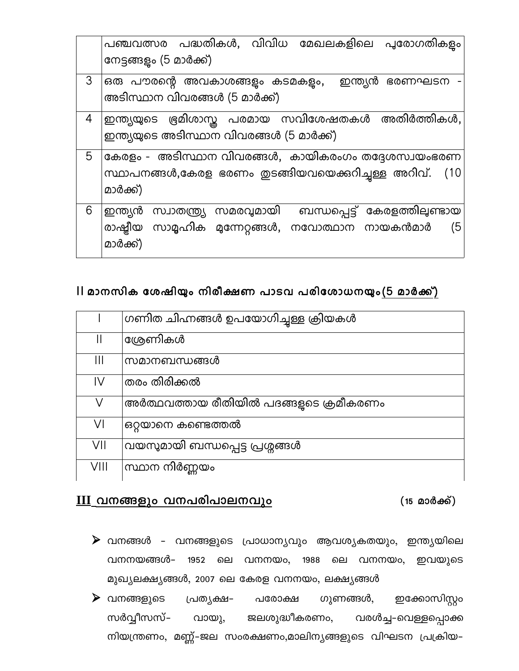|   | പഞ്ചവത്സര പദ്ധതികൾ, വിവിധ മേഖലകളിലെ പുരോഗതികളം<br>നേട്ടങ്ങളം (5 മാർക്ക്)                                                                         |
|---|--------------------------------------------------------------------------------------------------------------------------------------------------|
| 3 | ഒരു പൗരന്റെ അവകാശങ്ങളം കടമകളം,<br>ഇന്ത്യൻ<br>ഭരണഘടന<br>അടിസ്ഥാന വിവരങ്ങൾ (5 മാർക്ക്)                                                             |
| 4 | ഇന്ത്യയുടെ ഭ്രമിശാസ്ത പരമായ സവിശേഷതകൾ അതിർത്തികൾ,<br>ഇന്ത്യയുടെ അടിസ്ഥാന വിവരങ്ങൾ (5 മാർക്ക്)                                                    |
| 5 | കേരളം - അടിസ്ഥാന വിവരങ്ങൾ, കായികരംഗം തദ്ദേശസ്വയംഭരണ<br>സ്ഥാപനങ്ങൾ,കേരള ഭരണം തുടങ്ങിയവയെക്കറിച്ചള്ള അറിവ്.<br>(10<br>മാർക്ക്)                     |
| 6 | ബന്ധപ്പെട്ട് കേരളത്തിലുണ്ടായ<br>സമരവ്വമായി<br>സ്വാതന്ത്ര്യ<br>ഇന്ത്യൻ<br>രാഷ്ട്രീയ<br>സാമൃഹിക മുന്നേറ്റങ്ങൾ, നവോത്ഥാന നായകൻമാർ<br>(5<br>മാർക്ക്) |

# II മൊനസിക േശേഷിയും നിരീക്ഷണ പൊടവ പരിേശേൊധനയും (5 മൊര്ക്ക്)

|               | ഗണിത ചിഹ്നങ്ങൾ ഉപയോഗിച്ചുള്ള ക്രിയകൾ    |
|---------------|-----------------------------------------|
| $\mathbf{  }$ | ശ്രേണികൾ                                |
| Ш             | സമാനബന്ധങ്ങൾ                            |
| IV            | തരം തിരിക്കൽ                            |
| V             | അർത്ഥവത്തായ രീതിയിൽ പദങ്ങളുടെ ക്രമീകരണം |
| VI            | ഒറ്റയാനെ കണ്ടെത്തൽ                      |
| VII           | വയസുമായി ബന്ധപ്പെട്ട പ്രശ്നങ്ങൾ         |
| VIII          | സ്ഥാന നിർണ്ണയം                          |

# <u> III വനങ്ങളും വനപരിപാലനവും</u> (15 മാർക്ക്)

- $\blacktriangleright$  വനങ്ങൾ വനങ്ങളുടെ പ്രാധാന്യവും ആവശ്യകതയും, ഇന്ത്യയിലെ വനനയങ്ങൾ– 1952 ലെ വനനയം, 1988 ലെ വനനയം, ഇവയുടെ മുഖ്യലക്ഷ്യങ്ങൾ, 2007 ലെ കേരള വനനയം, ലക്ഷ്യങ്ങൾ
- $\blacktriangleright$  വനങ്ങളുടെ പ്രത്യക്ഷ– പരോക്ഷ ഗുണങ്ങൾ, ഇക്കോസിസ്റ്റം സർവ്വീസസ്– വായു, ജലശുദ്ധീകരണം, വരൾച്ച–വെള്ളപ്പൊക്ക നിയന്ത്രണം, മണ്ണ്-ജല സംരക്ഷണം,മാലിന്യങ്ങളുടെ വിഘടന പ്രക്രിയ–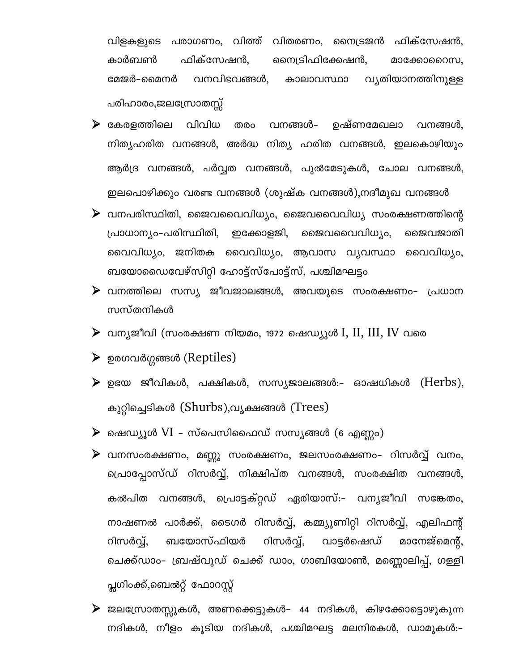വിളകളുടെ പരാഗണം, വിത്ത് വിതരണം, നൈട്രജൻ ഫിക്സേഷൻ, കാർബൺ ഫിക്സേഷൻ, നൈട്രിഫിക്കേഷൻ, മാക്കോറൈസ, മേജർ–മൈനർ വനവിഭവങ്ങൾ, കാലാവസ്ഥാ വ്യതിയാനത്തിനുള്ള പരിഹാരം,ജലസ്രോതസ്സ്

 $\triangleright$  കേരളത്തിലെ വിവിധ തരം വനങ്ങൾ– ഉഷ്ണമേഖലാ വനങ്ങൾ. നിത്യഹരിത വനങ്ങൾ, അർദ്ധ നിത്യ ഹരിത വനങ്ങൾ, ഇലകൊഴിയും ആർദ്ര വനങ്ങൾ, പർവ്വത വനങ്ങൾ, പുൽമേടുകൾ, ചോല വനങ്ങൾ, ഇലപൊഴിക്കും വരണ്ട വനങ്ങൾ (ശുഷ്ക വനങ്ങൾ),നദീമുഖ വനങ്ങൾ

 $\triangleright$  വനപരിസ്ഥിതി, ജൈവവൈവിധ്യം, ജൈവവൈവിധ്യ സംരക്ഷണത്തിന്റെ പ്രാധാന്യം-പരിസ്ഥിതി, ഇക്കോളജി, ജൈവവൈവിധ്യം, ജൈവജാതി വൈവിധ്യം, ജനിതക വൈവിധ്യം, ആവാസ വ്യവസ്ഥാ വൈവിധ്യം, ബയോഡൈവേഴ്സിറ്റി ഹോട്ട്സ്പോട്ട്സ്, പശ്ചിമഘട്ടം

- $\blacktriangleright$  വനത്തിലെ സസ്യ ജീവജാലങ്ങൾ, അവയുടെ സംരക്ഷണം- പ്രധാന സസ്തനികൾ
- $\triangleright$  വന്യജീവി (സംരക്ഷണ നിയമം, 1972 ഷെഡ്യൂൾ I, II, III, IV വരെ
- ▶ ഉരഗവർഗ്ഗങ്ങൾ (Reptiles)
- $\triangleright$  ഉഭയ ജീവികൾ, പക്ഷികൾ, സസ്യജാലങ്ങൾ:- ഓഷധികൾ (Herbs), കുറ്റിച്ചെടികൾ (Shurbs),വൃക്ഷങ്ങൾ (Trees)

 $\triangleright$  ഷെഡ്യൂൾ VI - സ്പെസിഫൈഡ് സസ്യങ്ങൾ (6 എണ്ണം)

- $\blacktriangleright$  വനസംരക്ഷണം, മണ്ണു സംരക്ഷണം, ജലസംരക്ഷണം- റിസർവ്വ് വനം, പ്രൊപ്പോസ്ഡ് റിസർവ്വ്, നിക്ഷിപ്ത വനങ്ങൾ, സംരക്ഷിത വനങ്ങൾ, കൽപിത വനങ്ങൾ, പ്രൊട്ടക്റ്റഡ് ഏരിയാസ്:– വന്യജീവി സങ്കേതം, നാഷണൽ പാർക്ക്, ടൈഗർ റിസർവ്വ്, കമ്മ്യൂണിറ്റി റിസർവ്വ്, എലിഫന്റ് റിസർവ്വ്, വാട്ടർഷെഡ് റിസർവ്. ബയോസ്ഫിയർ മാനേജ്മെൻ്. ചെക്ക്ഡാം– ബ്രഷ്വുഡ് ചെക്ക് ഡാം, ഗാബിയോൺ, മണ്ണൊലിപ്പ്, ഗള്ളി പ്ലഗിംക്ക്,ബെൽറ്റ് ഫോറസ്റ്റ്
- $\blacktriangleright$  ജലസ്രോതസ്സുകൾ, അണക്കെട്ടുകൾ– 44 നദികൾ, കിഴക്കോട്ടൊഴുകുന്ന നദികൾ, നീളം കൂടിയ നദികൾ, പശ്ചിമഘട്ട മലനിരകൾ, ഡാമുകൾ:-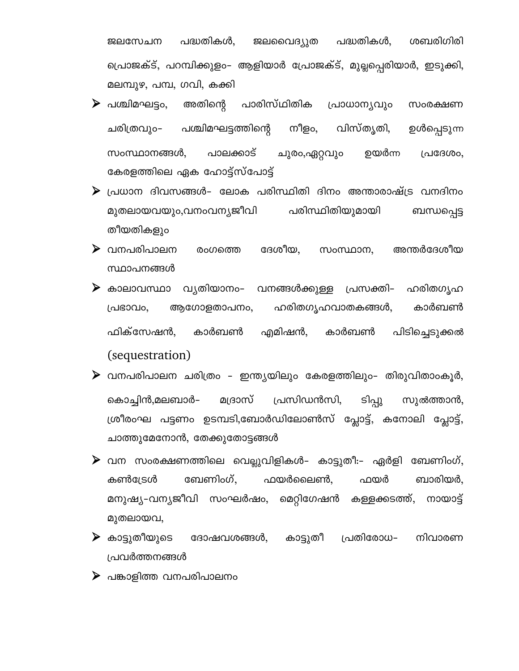ജലസേചന പദ്ധതികൾ, ജലവൈദ്യുത പദ്ധതികൾ, ശബരിഗിരി പ്രൊജക്ട്, പറമ്പിക്കുളം– ആളിയാർ പ്രോജക്ട്, മുല്ലപ്പെരിയാർ, ഇടുക്കി, മലമ്പുഴ, പമ്പ, ഗവി, കക്കി

- $\triangleright$  പശ്ചിമഘട്ടം, അതിന്റെ പാരിസ്ഥിതിക പ്രാധാന്യവും സംരക്ഷണ പശ്ചിമഘട്ടത്തിന്റെ നീളം, വിസ്തൃതി, ചരിത്രവും-ഉൾപ്പെടുന്ന സംസ്ഥാനങ്ങൾ, പാലക്കാട് ചുരം,ഏറ്റവും ഉയർന്ന പ്രദേശം, കേരളത്തിലെ ഏക ഹോട്ട്സ്പോട്ട്
- $\triangleright$  പ്രധാന ദിവസങ്ങൾ– ലോക പരിസ്ഥിതി ദിനം അന്താരാഷ്ട്ര വനദിനം മുതലായവയും,വനംവന്യജീവി പരിസ്ഥിതിയുമായി ബന്ധപ്പെട്ട തീയതികളും
- $\blacktriangleright$  വനപരിപാലന രംഗത്തെ ദേശീയ, സംസ്ഥാന, അന്തർദേശീയ സ്ഥാപനങ്ങൾ
- $\triangleright$  കാലാവസ്ഥാ വ്യതിയാനം– വനങ്ങൾക്കുള്ള പ്രസക്തി– ഹരിതഗൃഹ ഹരിതഗൃഹവാതകങ്ങൾ, പ്രഭാവം, ആഗോളതാപനം, കാർബൺ ഫിക്സേഷൻ. കാർബൺ എമിഷൻ, കാർബൺ പിടിച്ചെടുക്കൽ (sequestration)
- $\blacktriangleright$  വനപരിപാലന ചരിത്രം ഇന്ത്യയിലും കേരളത്തിലും- തിരുവിതാംകൂർ, പ്രസിഡൻസി, ടിപ്പു കൊച്ചിൻ,മലബാർ– മദ്രാസ് സുൽത്താൻ, ശ്രീരംഘ പട്ടണം ഉടമ്പടി,ബോർഡിലോൺസ് പ്ലോട്ട്, കനോലി പ്ലോട്ട്, ചാത്തുമേനോൻ, തേക്കുതോട്ടങ്ങൾ
- $\triangleright$  വന സംരക്ഷണത്തിലെ വെല്ലുവിളികൾ– കാട്ടുതീ:– ഏർളി ബേണിംഗ്, ഫയർ ബേണിംഗ്. ബാരിയർ, കൺട്രേൾ ഫയർലൈൺ. മനുഷ്യ–വന്യജീവി സംഘർഷം, മെറ്റിഗേഷൻ കള്ളക്കടത്ത്, നായാട്ട് മുതലായവ,
- $\blacktriangleright$  കാട്ടുതീയുടെ ദോഷവശങ്ങൾ, കാട്ടുതീ പ്രതിരോധ– നിവാരണ പ്രവർത്തനങ്ങൾ
- $\triangleright$  പങ്കാളിത്ത വനപരിപാലനം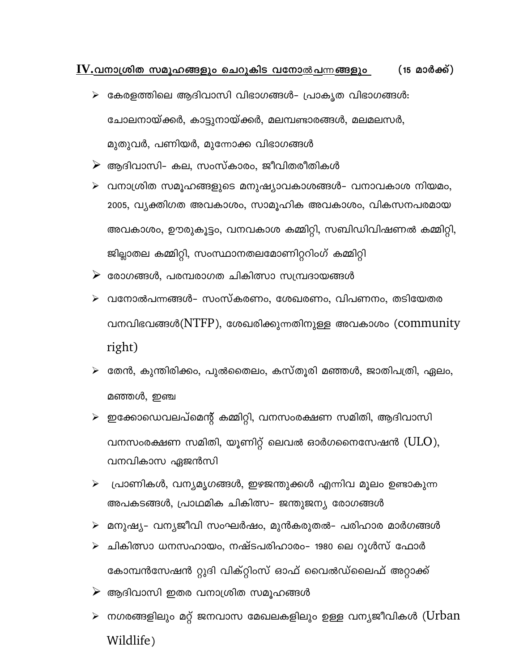#### $\underline{\mathbf{IV}}$ .വനാശ്രിത സമൂഹങ്ങളും ചെറുകിട വനോ<u>ൽപന്ന</u>ങ്ങളും  $(15 \n *മാർക്ക്)*$

- $\triangleright$  കേരളത്തിലെ ആദിവാസി വിഭാഗങ്ങൾ- പ്രാകൃത വിഭാഗങ്ങൾ: ചോലനായ്ക്കർ, കാട്ടുനായ്ക്കർ, മലമ്പണ്ടാരങ്ങൾ, മലമലസർ, മുതുവർ, പണിയർ, മുന്നോക്ക വിഭാഗങ്ങൾ
- $\triangleright$  ആദിവാസി– കല, സംസ്കാരം, ജീവിതരീതികൾ
- $\triangleright$  വനാശ്രിത സമൂഹങ്ങളുടെ മനുഷ്യാവകാശങ്ങൾ– വനാവകാശ നിയമം, 2005, വ്യക്തിഗത അവകാശം, സാമൂഹിക അവകാശം, വികസനപരമായ അവകാശം, ഊരുകൂട്ടം, വനവകാശ കമ്മിറ്റി, സബിഡിവിഷണൽ കമ്മിറ്റി, ജില്ലാതല കമ്മിറ്റി, സംസ്ഥാനതലമോണിറ്ററിംഗ് കമ്മിറ്റി
- $\triangleright$  രോഗങ്ങൾ, പരമ്പരാഗത ചികിത്സാ സമ്പ്രദായങ്ങൾ
- $\triangleright$  വനോൽപന്നങ്ങൾ– സംസ്കരണം, ശേഖരണം, വിപണനം, തടിയേതര വനവിഭവങ്ങൾ $(NTFP)$ , ശേഖരിക്കുന്നതിനുള്ള അവകാശം (community right)
- $\triangleright$  തേൻ, കുന്തിരിക്കം, പുൽതൈലം, കസ്തൂരി മഞ്ഞൾ, ജാതിപത്രി, ഏലം, മഞ്ഞൾ, ഇഞ്ച
- $\triangleright$  ഇക്കോഡെവലപ്മെന്റ് കമ്മിറ്റി, വനസംരക്ഷണ സമിതി, ആദിവാസി വനസംരക്ഷണ സമിതി, യൂണിറ്റ് ലെവൽ ഓർഗനൈസേഷൻ ( $\rm ULO$ ), വനവികാസ ഏജൻസി
- $\triangleright$  പ്രാണികൾ, വന്യമൃഗങ്ങൾ, ഇഴജന്തുക്കൾ എന്നിവ മൂലം ഉണ്ടാകുന്ന അപകടങ്ങൾ, പ്രാഥമിക ചികിത്സ– ജന്തുജന്യ രോഗങ്ങൾ
- $\triangleright$  മനുഷ്യ– വന്യജീവി സംഘർഷം, മുൻകരുതൽ– പരിഹാര മാർഗങ്ങൾ
- $\triangleright$  ചികിത്സാ ധനസഹായം, നഷ്ടപരിഹാരം- 1980 ലെ റൂൾസ് ഫോർ കോമ്പൻസേഷൻ റ്റുദി വിക്റ്റിംസ് ഓഫ് വൈൽഡ്ലൈഫ് അറ്റാക്ക്
- $\triangleright$  ആദിവാസി ഇതര വനാശ്രിത സമൂഹങ്ങൾ
- $\triangleright$  നഗരങ്ങളിലും മറ്റ് ജനവാസ മേഖലകളിലും ഉള്ള വന്യജീവികൾ (Urban Wildlife)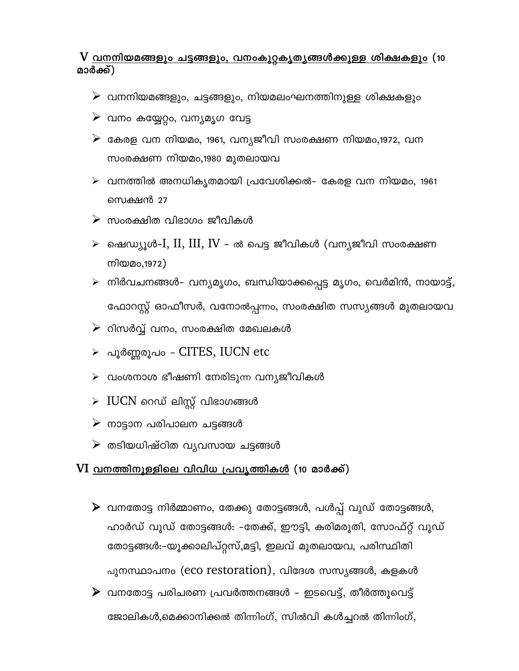### V <u>വനനിയമങ്ങളും ചട്ടങ്ങളും, വനംകൂറ്റകൃതൃങ്ങൾക്കുള്ള ശിക്ഷകളും</u> (10 മാർക്ക്)

- $\triangleright$  വനനിയമങ്ങളും, ചട്ടങ്ങളും, നിയമലംഘനത്തിനുള്ള ശിക്ഷകളും
- $\triangleright$  വനം കയ്യേറ്റം, വന്യമൃഗ വേട്ട
- $\triangleright$  കേരള വന നിയമം, 1961, വന്യജീവി സംരക്ഷണ നിയമം,1972, വന സംരക്ഷണ നിയമം,1980 മുതലായവ
- $\triangleright$  വനത്തിൽ അനധികൃതമായി പ്രവേശിക്കൽ– കേരള വന നിയമം, 1961 സെക്ഷൻ 27
- $\triangleright$  സംരക്ഷിത വിഭാഗം ജീവികൾ
- $\triangleright$  ഷെഡ്യൂൾ-I, II, III, IV ൽ പെട്ട ജീവികൾ (വന്യജീവി സംരക്ഷണ നിയമം,1972)
- $\triangleright$  നിർവചനങ്ങൾ– വന്യമൃഗം, ബന്ധിയാക്കപ്പെട്ട മൃഗം, വെർമിൻ, നായാട്ട്, ഫോറസ്റ്റ് ഓഫീസർ, വനോൽപ്പന്നം, സംരക്ഷിത സസ്യങ്ങൾ മുതലായവ
- $\triangleright$  റിസർവ്വ് വനം, സംരക്ഷിത മേഖലകൾ
- ≻ പൂർണ്ണരൂപം CITES, IUCN etc
- $\triangleright$  വംശനാശ ഭീഷണി നേരിടുന്ന വന്യജീവികൾ
- $\triangleright$  IUCN റെഡ് ലിസ്റ്റ് വിഭാഗങ്ങൾ
- $\triangleright$  നാട്ടാന പരിപാലന ചട്ടങ്ങൾ
- $\triangleright$  തടിയധിഷ്ഠിത വ്യവസായ ചട്ടങ്ങൾ

#### $VI$  വനത്തിനുള്ളിലെ വിവിധ പ്രവ്യത്തികൾ (10 മാർക്ക്)

 $\blacktriangleright$  വനതോട്ട നിർമ്മാണം, തേക്കു തോട്ടങ്ങൾ, പൾപ്പ് വുഡ് തോട്ടങ്ങൾ, ഹാർഡ് വുഡ് തോട്ടങ്ങൾ: –തേക്ക്, ഈട്ടി, കരിമരുതി, സോഫ്റ്റ് വുഡ് തോട്ടങ്ങൾ:-യൂക്കാലിപ്റ്റസ്,മട്ടി, ഇലവ് മുതലായവ, പരിസ്ഥിതി പുനസ്ഥാപനം (eco restoration), വിദേശ സസ്യങ്ങൾ, കളകൾ  $\triangleright$  വനതോട്ട പരിചരണ പ്രവർത്തനങ്ങൾ - ഇടവെട്ട്, തീർത്തുവെട്ട്

ജോലികൾ,മെക്കാനിക്കൽ തിന്നിംഗ്, സിൽവി കൾച്ചറൽ തിന്നിംഗ്,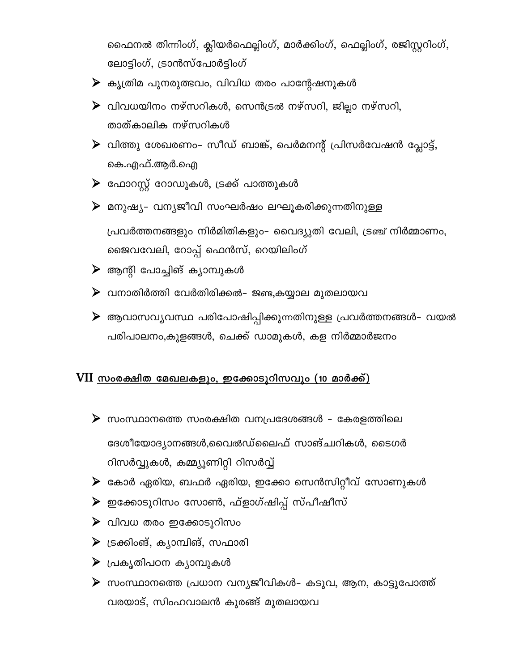ഫൈനൽ തിന്നിംഗ്, ക്ലിയർഫെല്ലിംഗ്, മാർക്കിംഗ്, ഫെല്ലിംഗ്, രജിസ്റ്ററിംഗ്, ലോട്ടിംഗ്, ട്രാൻസ്പോർട്ടിംഗ്

- $\triangleright$  കൃത്രിമ പുനരുത്ഭവം, വിവിധ തരം പാന്റേഷനുകൾ
- $\blacktriangleright$  വിവധയിനം നഴ്സറികൾ, സെൻട്രൽ നഴ്സറി, ജില്ലാ നഴ്സറി, താത്കാലിക നഴ്സറികൾ
- $\blacktriangleright$  വിത്തു ശേഖരണം- സീഡ് ബാങ്ക്, പെർമനന്റ് പ്രിസർവേഷൻ പ്ലോട്ട്, കെ.എഫ്.ആർ.ഐ
- $\triangleright$  ഫോറസ്റ്റ് റോഡുകൾ, ട്രക്ക് പാത്തുകൾ
- $\triangleright$  മനുഷ്യ- വന്യജീവി സംഘർഷം ലഘൂകരിക്കുന്നതിനുള്ള പ്രവർത്തനങ്ങളും നിർമിതികളും- വൈദ്യുതി വേലി, ട്രഞ്ച് നിർമ്മാണം, ജൈവവേലി, റോപ്പ് ഫെൻസ്, റെയിലിംഗ്
- $\triangleright$  ആന്റി പോച്ചിങ് ക്യാമ്പുകൾ
- $\triangleright$  വനാതിർത്തി വേർതിരിക്കൽ– ജണ്ട,കയ്യാല മുതലായവ
- $\blacktriangleright$  ആവാസവ്യവസ്ഥ പരിപോഷിപ്പിക്കുന്നതിനുള്ള പ്രവർത്തനങ്ങൾ– വയൽ പരിപാലനം,കുളങ്ങൾ, ചെക്ക് ഡാമുകൾ, കള നിർമ്മാർജനം

#### $VII$  സംരക്ഷിത മേഖലകളും, ഇക്കോടുറിസവും (10 മാർക്ക്)

- $\triangleright$  സംസ്ഥാനത്തെ സംരക്ഷിത വനപ്രദേശങ്ങൾ കേരളത്തിലെ ദേശീയോദ്യാനങ്ങൾ,വൈൽഡ്ലൈഫ് സാങ്ച്വറികൾ, ടൈഗർ റിസർവ്വുകൾ, കമ്മ്യൂണിറ്റി റിസർവ്വ്
- $\blacktriangleright$  കോർ ഏരിയ, ബഫർ ഏരിയ, ഇക്കോ സെൻസിറ്റീവ് സോണുകൾ
- $\blacktriangleright$  ഇക്കോടൂറിസം സോൺ, ഫ്ളാഗ്ഷിപ്പ് സ്പീഷീസ്
- $\triangleright$  വിവധ തരം ഇക്കോടൂറിസം
- $\triangleright$  ട്രക്കിംങ്, കൃാമ്പിങ്, സഫാരി
- $\blacktriangleright$  പ്രകൃതിപഠന കൃാമ്പുകൾ
- $\triangleright$  സംസ്ഥാനത്തെ പ്രധാന വന്യജീവികൾ– കടുവ, ആന, കാട്ടുപോത്ത് വരയാട്, സിംഹവാലൻ കുരങ്ങ് മുതലായവ